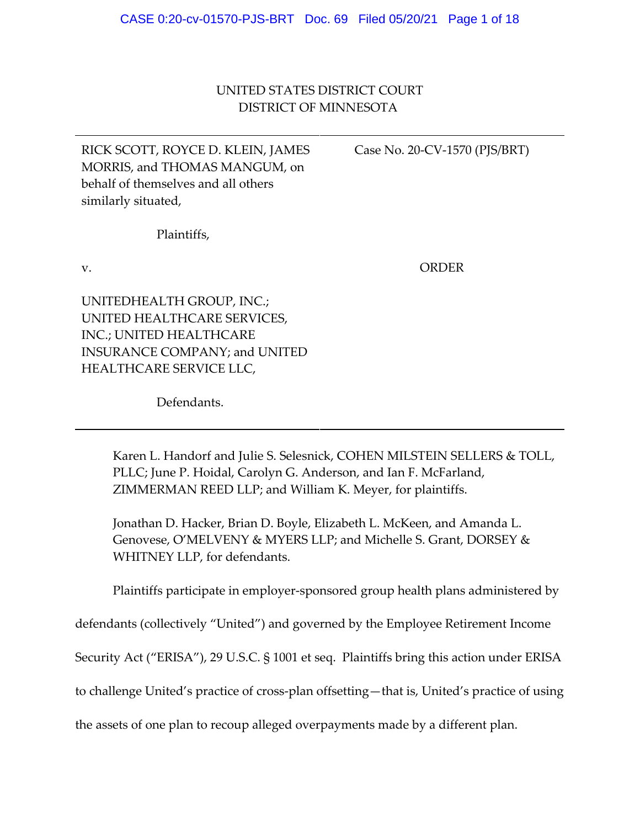# UNITED STATES DISTRICT COURT DISTRICT OF MINNESOTA

RICK SCOTT, ROYCE D. KLEIN, JAMES MORRIS, and THOMAS MANGUM, on behalf of themselves and all others similarly situated,

Case No. 20‐CV‐1570 (PJS/BRT)

Plaintiffs,

v.

ORDER

UNITEDHEALTH GROUP, INC.; UNITED HEALTHCARE SERVICES, INC.; UNITED HEALTHCARE INSURANCE COMPANY; and UNITED HEALTHCARE SERVICE LLC,

Defendants.

Karen L. Handorf and Julie S. Selesnick, COHEN MILSTEIN SELLERS & TOLL, PLLC; June P. Hoidal, Carolyn G. Anderson, and Ian F. McFarland, ZIMMERMAN REED LLP; and William K. Meyer, for plaintiffs.

Jonathan D. Hacker, Brian D. Boyle, Elizabeth L. McKeen, and Amanda L. Genovese, O'MELVENY & MYERS LLP; and Michelle S. Grant, DORSEY & WHITNEY LLP, for defendants.

Plaintiffs participate in employer‐sponsored group health plans administered by

defendants (collectively "United") and governed by the Employee Retirement Income

Security Act ("ERISA"), 29 U.S.C. § 1001 et seq. Plaintiffs bring this action under ERISA

to challenge United's practice of cross‐plan offsetting—that is, United's practice of using

the assets of one plan to recoup alleged overpayments made by a different plan.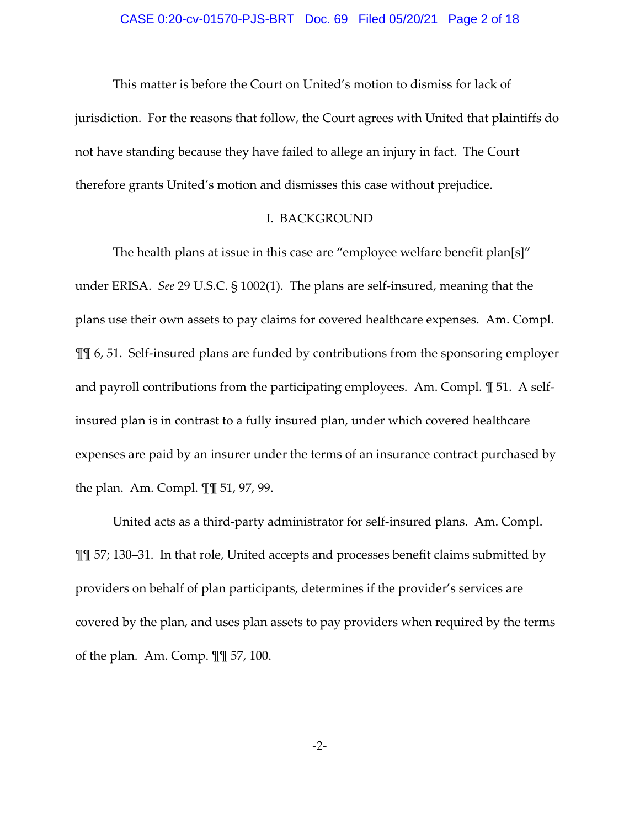This matter is before the Court on United's motion to dismiss for lack of jurisdiction. For the reasons that follow, the Court agrees with United that plaintiffs do not have standing because they have failed to allege an injury in fact. The Court therefore grants United's motion and dismisses this case without prejudice.

### I. BACKGROUND

The health plans at issue in this case are "employee welfare benefit plan[s]" under ERISA. *See* 29 U.S.C. § 1002(1). The plans are self‐insured, meaning that the plans use their own assets to pay claims for covered healthcare expenses. Am. Compl. ¶¶ 6, 51. Self‐insured plans are funded by contributions from the sponsoring employer and payroll contributions from the participating employees. Am. Compl.  $\mathbb{I}$  51. A selfinsured plan is in contrast to a fully insured plan, under which covered healthcare expenses are paid by an insurer under the terms of an insurance contract purchased by the plan. Am. Compl. ¶¶ 51, 97, 99.

United acts as a third‐party administrator for self‐insured plans. Am. Compl. ¶¶ 57; 130–31. In that role, United accepts and processes benefit claims submitted by providers on behalf of plan participants, determines if the provider's services are covered by the plan, and uses plan assets to pay providers when required by the terms of the plan. Am. Comp. ¶¶ 57, 100.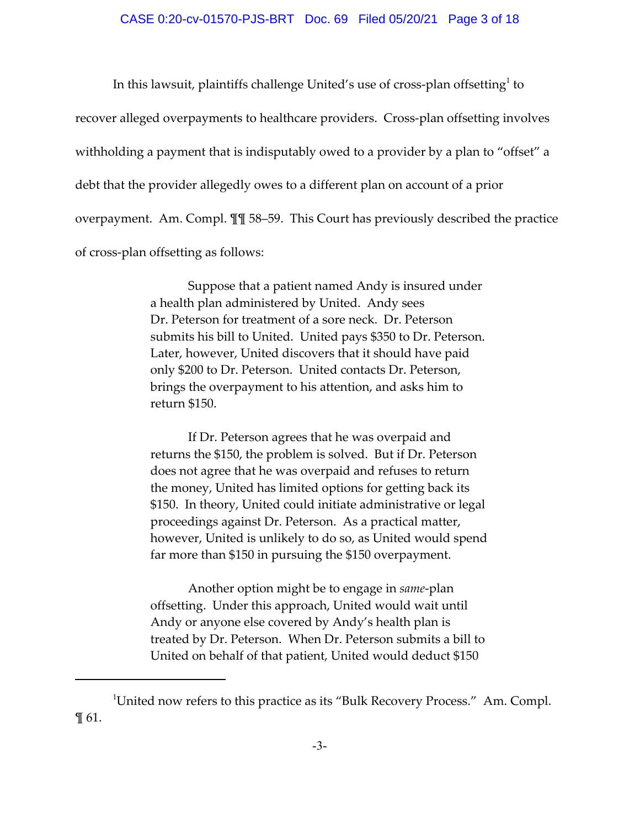In this lawsuit, plaintiffs challenge United's use of cross-plan offsetting<sup>1</sup> to recover alleged overpayments to healthcare providers. Cross-plan offsetting involves withholding a payment that is indisputably owed to a provider by a plan to "offset" a debt that the provider allegedly owes to a different plan on account of a prior overpayment. Am. Compl. ¶¶ 58–59. This Court has previously described the practice of cross‐plan offsetting as follows:

> Suppose that a patient named Andy is insured under a health plan administered by United. Andy sees Dr. Peterson for treatment of a sore neck. Dr. Peterson submits his bill to United. United pays \$350 to Dr. Peterson. Later, however, United discovers that it should have paid only \$200 to Dr. Peterson. United contacts Dr. Peterson, brings the overpayment to his attention, and asks him to return \$150.

> If Dr. Peterson agrees that he was overpaid and returns the \$150, the problem is solved. But if Dr. Peterson does not agree that he was overpaid and refuses to return the money, United has limited options for getting back its \$150. In theory, United could initiate administrative or legal proceedings against Dr. Peterson. As a practical matter, however, United is unlikely to do so, as United would spend far more than \$150 in pursuing the \$150 overpayment.

> Another option might be to engage in *same*‐plan offsetting. Under this approach, United would wait until Andy or anyone else covered by Andy's health plan is treated by Dr. Peterson. When Dr. Peterson submits a bill to United on behalf of that patient, United would deduct \$150

<sup>&</sup>lt;sup>1</sup>United now refers to this practice as its "Bulk Recovery Process." Am. Compl. ¶ 61.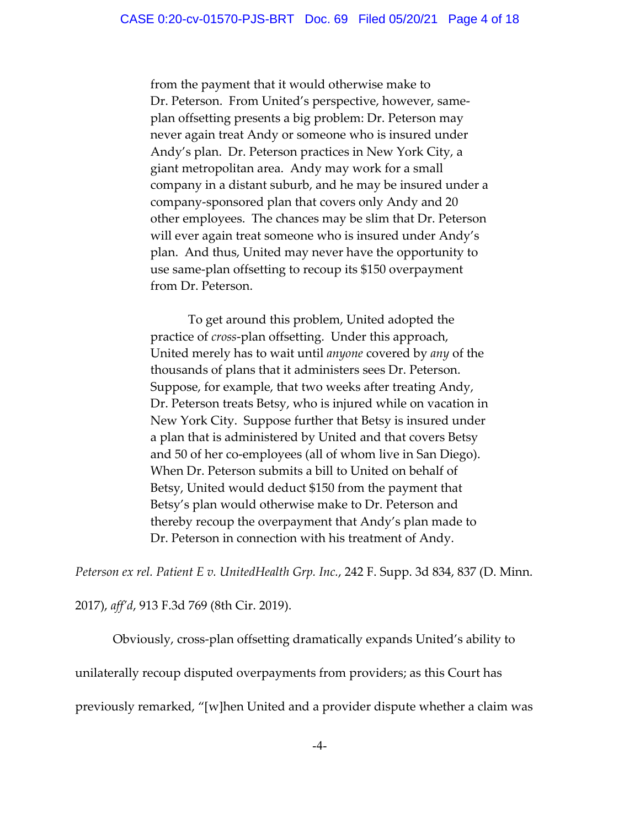from the payment that it would otherwise make to Dr. Peterson. From United's perspective, however, same‐ plan offsetting presents a big problem: Dr. Peterson may never again treat Andy or someone who is insured under Andy's plan. Dr. Peterson practices in New York City, a giant metropolitan area. Andy may work for a small company in a distant suburb, and he may be insured under a company‐sponsored plan that covers only Andy and 20 other employees. The chances may be slim that Dr. Peterson will ever again treat someone who is insured under Andy's plan. And thus, United may never have the opportunity to use same‐plan offsetting to recoup its \$150 overpayment from Dr. Peterson.

To get around this problem, United adopted the practice of *cross*‐plan offsetting. Under this approach, United merely has to wait until *anyone* covered by *any* of the thousands of plans that it administers sees Dr. Peterson. Suppose, for example, that two weeks after treating Andy, Dr. Peterson treats Betsy, who is injured while on vacation in New York City. Suppose further that Betsy is insured under a plan that is administered by United and that covers Betsy and 50 of her co‐employees (all of whom live in San Diego). When Dr. Peterson submits a bill to United on behalf of Betsy, United would deduct \$150 from the payment that Betsy's plan would otherwise make to Dr. Peterson and thereby recoup the overpayment that Andy's plan made to Dr. Peterson in connection with his treatment of Andy.

*Peterson ex rel. Patient E v. UnitedHealth Grp. Inc.*, 242 F. Supp. 3d 834, 837 (D. Minn.

2017), *aff'd*, 913 F.3d 769 (8th Cir. 2019).

Obviously, cross‐plan offsetting dramatically expands United's ability to

unilaterally recoup disputed overpayments from providers; as this Court has

previously remarked, "[w]hen United and a provider dispute whether a claim was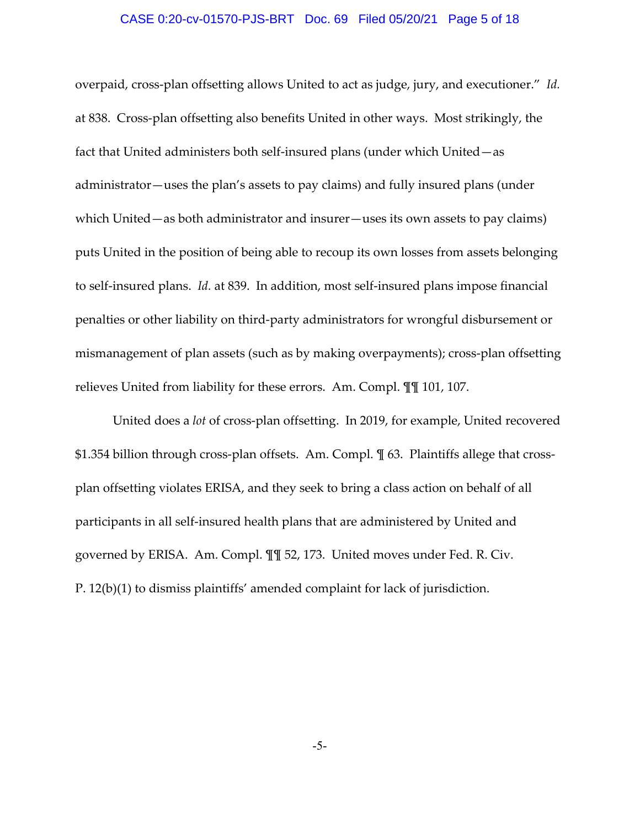### CASE 0:20-cv-01570-PJS-BRT Doc. 69 Filed 05/20/21 Page 5 of 18

overpaid, cross‐plan offsetting allows United to act as judge, jury, and executioner." *Id.* at 838. Cross‐plan offsetting also benefits United in other ways. Most strikingly, the fact that United administers both self‐insured plans (under which United—as administrator—uses the plan's assets to pay claims) and fully insured plans (under which United—as both administrator and insurer—uses its own assets to pay claims) puts United in the position of being able to recoup its own losses from assets belonging to self‐insured plans. *Id.* at 839. In addition, most self‐insured plans impose financial penalties or other liability on third‐party administrators for wrongful disbursement or mismanagement of plan assets (such as by making overpayments); cross‐plan offsetting relieves United from liability for these errors. Am. Compl. ¶¶ 101, 107.

United does a *lot* of cross‐plan offsetting. In 2019, for example, United recovered \$1.354 billion through cross-plan offsets. Am. Compl.  $\P$  63. Plaintiffs allege that crossplan offsetting violates ERISA, and they seek to bring a class action on behalf of all participants in all self‐insured health plans that are administered by United and governed by ERISA. Am. Compl. ¶¶ 52, 173. United moves under Fed. R. Civ. P. 12(b)(1) to dismiss plaintiffs' amended complaint for lack of jurisdiction.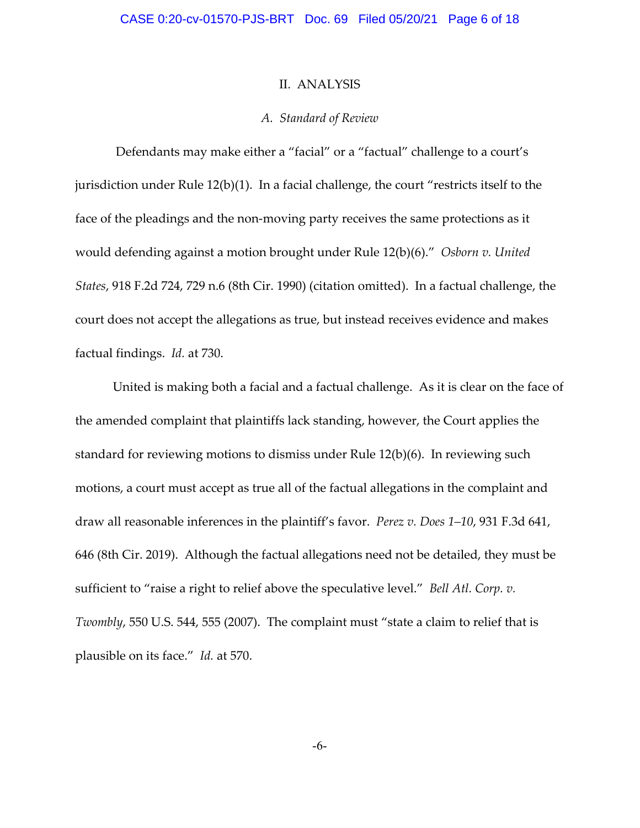### II. ANALYSIS

#### *A. Standard of Review*

Defendants may make either a "facial" or a "factual" challenge to a court's jurisdiction under Rule 12(b)(1). In a facial challenge, the court "restricts itself to the face of the pleadings and the non-moving party receives the same protections as it would defending against a motion brought under Rule 12(b)(6)." *Osborn v. United States*, 918 F.2d 724, 729 n.6 (8th Cir. 1990) (citation omitted). In a factual challenge, the court does not accept the allegations as true, but instead receives evidence and makes factual findings. *Id.* at 730.

United is making both a facial and a factual challenge. As it is clear on the face of the amended complaint that plaintiffs lack standing, however, the Court applies the standard for reviewing motions to dismiss under Rule 12(b)(6). In reviewing such motions, a court must accept as true all of the factual allegations in the complaint and draw all reasonable inferences in the plaintiff's favor. *Perez v. Does 1–10*, 931 F.3d 641, 646 (8th Cir. 2019). Although the factual allegations need not be detailed, they must be sufficient to "raise a right to relief above the speculative level." *Bell Atl. Corp. v. Twombly*, 550 U.S. 544, 555 (2007). The complaint must "state a claim to relief that is plausible on its face." *Id.* at 570.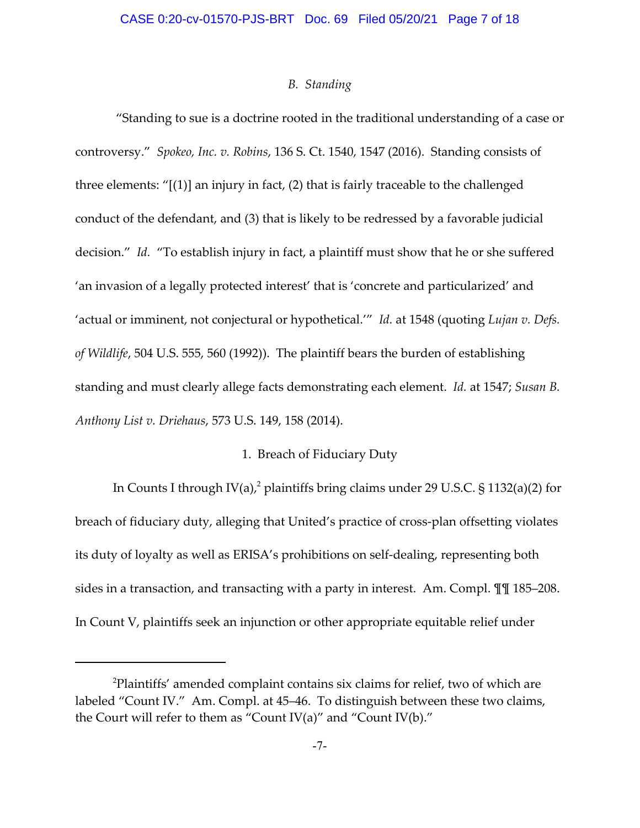## *B. Standing*

"Standing to sue is a doctrine rooted in the traditional understanding of a case or controversy." *Spokeo, Inc. v. Robins*, 136 S. Ct. 1540, 1547 (2016). Standing consists of three elements: "[(1)] an injury in fact, (2) that is fairly traceable to the challenged conduct of the defendant, and (3) that is likely to be redressed by a favorable judicial decision." *Id.* "To establish injury in fact, a plaintiff must show that he or she suffered 'an invasion of a legally protected interest' that is 'concrete and particularized' and 'actual or imminent, not conjectural or hypothetical.'" *Id.* at 1548 (quoting *Lujan v. Defs. of Wildlife*, 504 U.S. 555, 560 (1992)). The plaintiff bears the burden of establishing standing and must clearly allege facts demonstrating each element. *Id.* at 1547; *Susan B. Anthony List v. Driehaus*, 573 U.S. 149, 158 (2014).

## 1. Breach of Fiduciary Duty

In Counts I through IV(a),<sup>2</sup> plaintiffs bring claims under 29 U.S.C. § 1132(a)(2) for breach of fiduciary duty, alleging that United's practice of cross-plan offsetting violates its duty of loyalty as well as ERISA's prohibitions on self‐dealing, representing both sides in a transaction, and transacting with a party in interest. Am. Compl. ¶¶ 185–208. In Count V, plaintiffs seek an injunction or other appropriate equitable relief under

 $^{2}$ Plaintiffs' amended complaint contains six claims for relief, two of which are labeled "Count IV." Am. Compl. at 45–46. To distinguish between these two claims, the Court will refer to them as "Count IV(a)" and "Count IV(b)."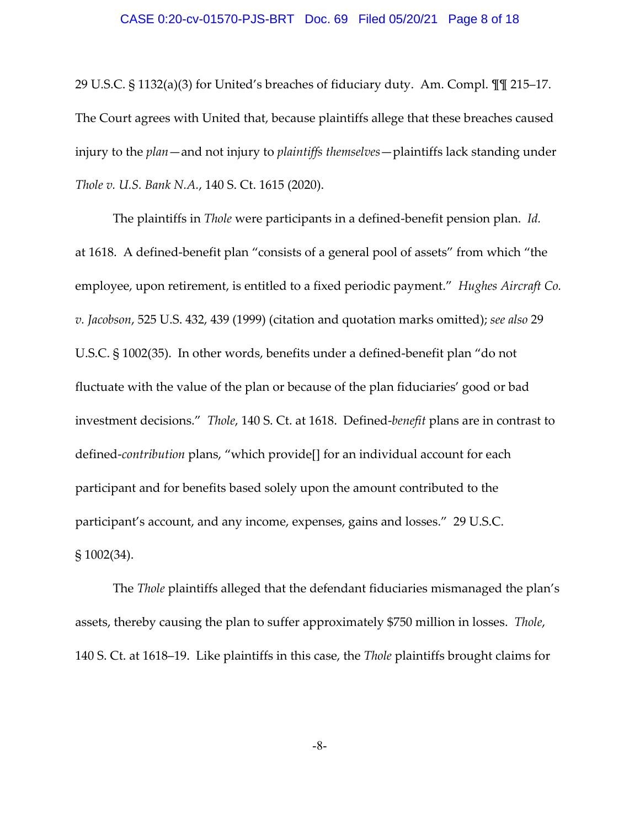#### CASE 0:20-cv-01570-PJS-BRT Doc. 69 Filed 05/20/21 Page 8 of 18

29 U.S.C. § 1132(a)(3) for United's breaches of fiduciary duty. Am. Compl. ¶¶ 215–17. The Court agrees with United that, because plaintiffs allege that these breaches caused injury to the *plan*—and not injury to *plaintiffs themselves*—plaintiffs lack standing under *Thole v. U.S. Bank N.A.*, 140 S. Ct. 1615 (2020).

The plaintiffs in *Thole* were participants in a defined‐benefit pension plan. *Id.* at 1618. A defined‐benefit plan "consists of a general pool of assets" from which "the employee, upon retirement, is entitled to a fixed periodic payment." *Hughes Aircraft Co. v. Jacobson*, 525 U.S. 432, 439 (1999) (citation and quotation marks omitted); *see also* 29 U.S.C. § 1002(35). In other words, benefits under a defined‐benefit plan "do not fluctuate with the value of the plan or because of the plan fiduciaries' good or bad investment decisions." *Thole*, 140 S. Ct. at 1618. Defined‐*benefit* plans are in contrast to defined‐*contribution* plans, "which provide[] for an individual account for each participant and for benefits based solely upon the amount contributed to the participant's account, and any income, expenses, gains and losses." 29 U.S.C. § 1002(34).

The *Thole* plaintiffs alleged that the defendant fiduciaries mismanaged the plan's assets, thereby causing the plan to suffer approximately \$750 million in losses. *Thole*, 140 S. Ct. at 1618–19. Like plaintiffs in this case, the *Thole* plaintiffs brought claims for

-8-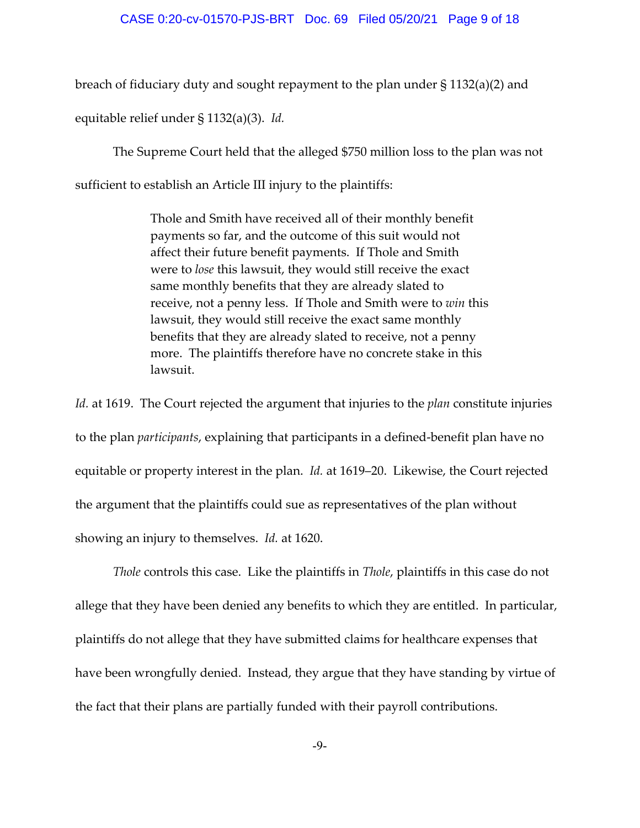#### CASE 0:20-cv-01570-PJS-BRT Doc. 69 Filed 05/20/21 Page 9 of 18

breach of fiduciary duty and sought repayment to the plan under § 1132(a)(2) and

equitable relief under § 1132(a)(3). *Id.*

The Supreme Court held that the alleged \$750 million loss to the plan was not sufficient to establish an Article III injury to the plaintiffs:

> Thole and Smith have received all of their monthly benefit payments so far, and the outcome of this suit would not affect their future benefit payments. If Thole and Smith were to *lose* this lawsuit, they would still receive the exact same monthly benefits that they are already slated to receive, not a penny less. If Thole and Smith were to *win* this lawsuit, they would still receive the exact same monthly benefits that they are already slated to receive, not a penny more. The plaintiffs therefore have no concrete stake in this lawsuit.

*Id.* at 1619. The Court rejected the argument that injuries to the *plan* constitute injuries to the plan *participants*, explaining that participants in a defined‐benefit plan have no equitable or property interest in the plan. *Id.* at 1619–20. Likewise, the Court rejected the argument that the plaintiffs could sue as representatives of the plan without showing an injury to themselves. *Id.* at 1620.

*Thole* controls this case. Like the plaintiffs in *Thole*, plaintiffs in this case do not allege that they have been denied any benefits to which they are entitled. In particular, plaintiffs do not allege that they have submitted claims for healthcare expenses that have been wrongfully denied. Instead, they argue that they have standing by virtue of the fact that their plans are partially funded with their payroll contributions.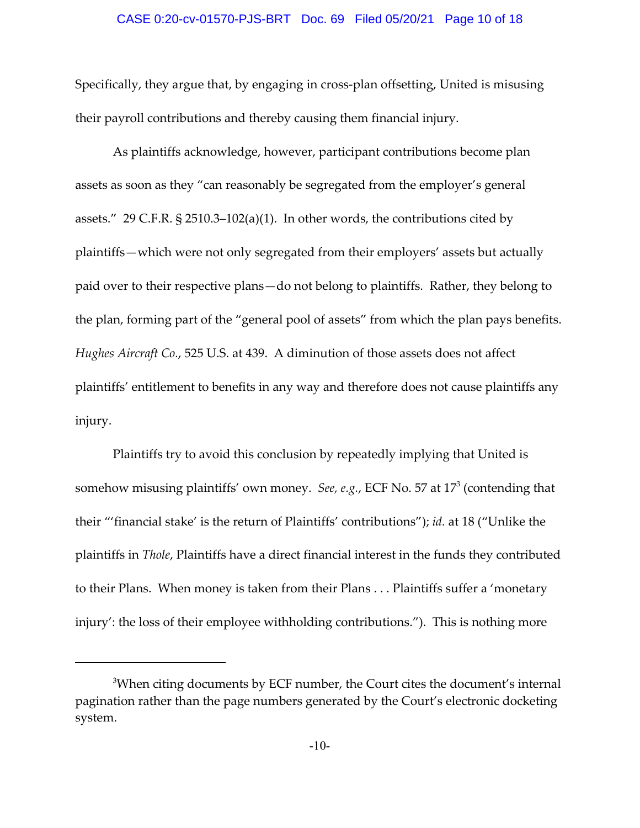## CASE 0:20-cv-01570-PJS-BRT Doc. 69 Filed 05/20/21 Page 10 of 18

Specifically, they argue that, by engaging in cross-plan offsetting, United is misusing their payroll contributions and thereby causing them financial injury.

As plaintiffs acknowledge, however, participant contributions become plan assets as soon as they "can reasonably be segregated from the employer's general assets." 29 C.F.R. § 2510.3–102(a)(1). In other words, the contributions cited by plaintiffs—which were not only segregated from their employers' assets but actually paid over to their respective plans—do not belong to plaintiffs. Rather, they belong to the plan, forming part of the "general pool of assets" from which the plan pays benefits. *Hughes Aircraft Co.*, 525 U.S. at 439. A diminution of those assets does not affect plaintiffs' entitlement to benefits in any way and therefore does not cause plaintiffs any injury.

Plaintiffs try to avoid this conclusion by repeatedly implying that United is somehow misusing plaintiffs' own money. *See, e.g.*, ECF No. 57 at  $17<sup>3</sup>$  (contending that their "'financial stake' is the return of Plaintiffs' contributions"); *id.* at 18 ("Unlike the plaintiffs in *Thole*, Plaintiffs have a direct financial interest in the funds they contributed to their Plans. When money is taken from their Plans . . . Plaintiffs suffer a 'monetary injury': the loss of their employee withholding contributions."). This is nothing more

 $^3$ When citing documents by ECF number, the Court cites the document's internal pagination rather than the page numbers generated by the Court's electronic docketing system.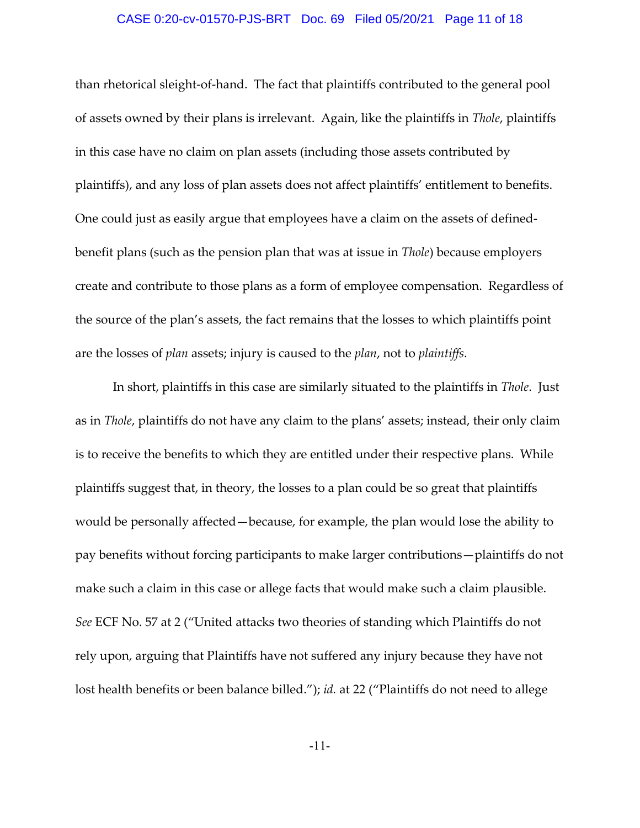## CASE 0:20-cv-01570-PJS-BRT Doc. 69 Filed 05/20/21 Page 11 of 18

than rhetorical sleight‐of‐hand. The fact that plaintiffs contributed to the general pool of assets owned by their plans is irrelevant. Again, like the plaintiffs in *Thole*, plaintiffs in this case have no claim on plan assets (including those assets contributed by plaintiffs), and any loss of plan assets does not affect plaintiffs' entitlement to benefits. One could just as easily argue that employees have a claim on the assets of defined‐ benefit plans (such as the pension plan that was at issue in *Thole*) because employers create and contribute to those plans as a form of employee compensation. Regardless of the source of the plan's assets, the fact remains that the losses to which plaintiffs point are the losses of *plan* assets; injury is caused to the *plan*, not to *plaintiffs*.

In short, plaintiffs in this case are similarly situated to the plaintiffs in *Thole*. Just as in *Thole*, plaintiffs do not have any claim to the plans' assets; instead, their only claim is to receive the benefits to which they are entitled under their respective plans. While plaintiffs suggest that, in theory, the losses to a plan could be so great that plaintiffs would be personally affected—because, for example, the plan would lose the ability to pay benefits without forcing participants to make larger contributions—plaintiffs do not make such a claim in this case or allege facts that would make such a claim plausible. *See* ECF No. 57 at 2 ("United attacks two theories of standing which Plaintiffs do not rely upon, arguing that Plaintiffs have not suffered any injury because they have not lost health benefits or been balance billed."); *id.* at 22 ("Plaintiffs do not need to allege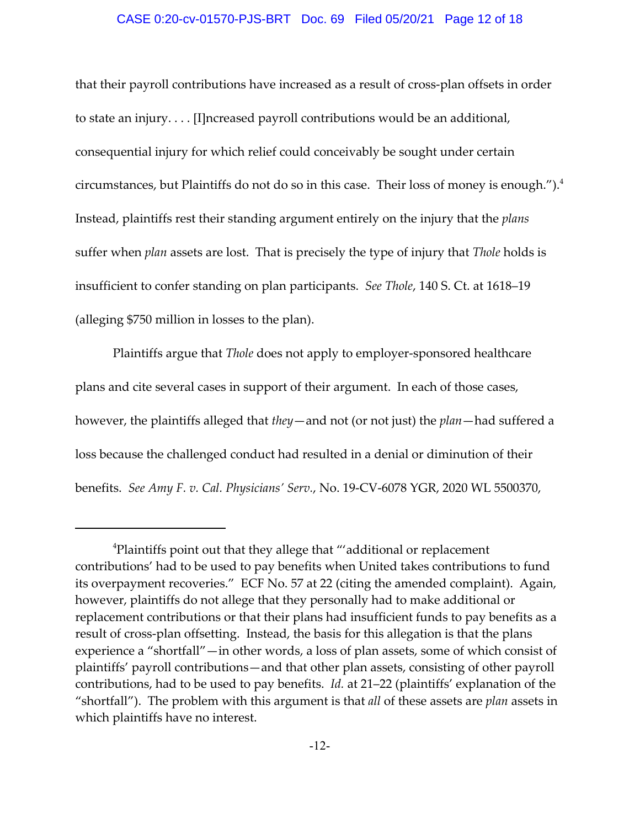#### CASE 0:20-cv-01570-PJS-BRT Doc. 69 Filed 05/20/21 Page 12 of 18

that their payroll contributions have increased as a result of cross‐plan offsets in order to state an injury. . . . [I]ncreased payroll contributions would be an additional, consequential injury for which relief could conceivably be sought under certain circumstances, but Plaintiffs do not do so in this case. Their loss of money is enough.").<sup>4</sup> Instead, plaintiffs rest their standing argument entirely on the injury that the *plans* suffer when *plan* assets are lost. That is precisely the type of injury that *Thole* holds is insufficient to confer standing on plan participants. *See Thole*, 140 S. Ct. at 1618–19 (alleging \$750 million in losses to the plan).

Plaintiffs argue that *Thole* does not apply to employer‐sponsored healthcare plans and cite several cases in support of their argument. In each of those cases, however, the plaintiffs alleged that *they*—and not (or not just) the *plan*—had suffered a loss because the challenged conduct had resulted in a denial or diminution of their benefits. *See Amy F. v. Cal. Physicians' Serv.*, No. 19‐CV‐6078 YGR, 2020 WL 5500370,

<sup>4</sup> Plaintiffs point out that they allege that "'additional or replacement contributions' had to be used to pay benefits when United takes contributions to fund its overpayment recoveries." ECF No. 57 at 22 (citing the amended complaint). Again, however, plaintiffs do not allege that they personally had to make additional or replacement contributions or that their plans had insufficient funds to pay benefits as a result of cross‐plan offsetting. Instead, the basis for this allegation is that the plans experience a "shortfall"—in other words, a loss of plan assets, some of which consist of plaintiffs' payroll contributions—and that other plan assets, consisting of other payroll contributions, had to be used to pay benefits. *Id.* at 21–22 (plaintiffs' explanation of the "shortfall"). The problem with this argument is that *all* of these assets are *plan* assets in which plaintiffs have no interest.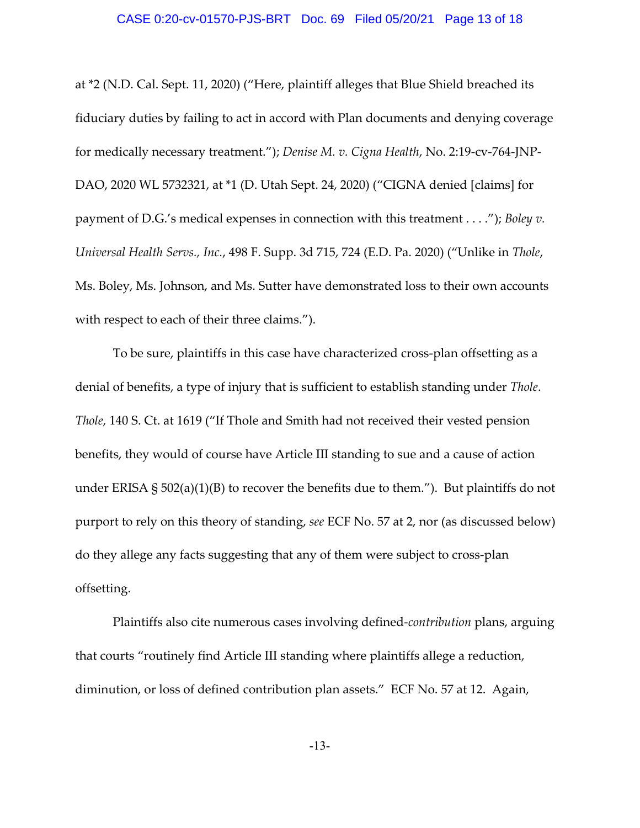#### CASE 0:20-cv-01570-PJS-BRT Doc. 69 Filed 05/20/21 Page 13 of 18

at \*2 (N.D. Cal. Sept. 11, 2020) ("Here, plaintiff alleges that Blue Shield breached its fiduciary duties by failing to act in accord with Plan documents and denying coverage for medically necessary treatment."); *Denise M. v. Cigna Health*, No. 2:19‐cv‐764‐JNP‐ DAO, 2020 WL 5732321, at \*1 (D. Utah Sept. 24, 2020) ("CIGNA denied [claims] for payment of D.G.'s medical expenses in connection with this treatment . . . ."); *Boley v. Universal Health Servs., Inc.*, 498 F. Supp. 3d 715, 724 (E.D. Pa. 2020) ("Unlike in *Thole*, Ms. Boley, Ms. Johnson, and Ms. Sutter have demonstrated loss to their own accounts with respect to each of their three claims.").

To be sure, plaintiffs in this case have characterized cross‐plan offsetting as a denial of benefits, a type of injury that is sufficient to establish standing under *Thole*. *Thole*, 140 S. Ct. at 1619 ("If Thole and Smith had not received their vested pension benefits, they would of course have Article III standing to sue and a cause of action under ERISA  $\S$  502(a)(1)(B) to recover the benefits due to them."). But plaintiffs do not purport to rely on this theory of standing, *see* ECF No. 57 at 2, nor (as discussed below) do they allege any facts suggesting that any of them were subject to cross‐plan offsetting.

Plaintiffs also cite numerous cases involving defined‐*contribution* plans, arguing that courts "routinely find Article III standing where plaintiffs allege a reduction, diminution, or loss of defined contribution plan assets." ECF No. 57 at 12. Again,

-13-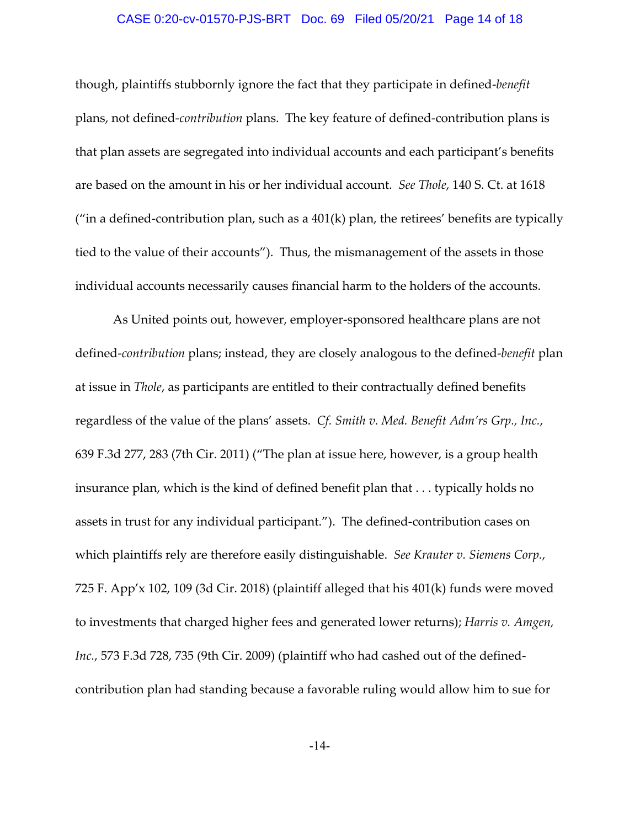## CASE 0:20-cv-01570-PJS-BRT Doc. 69 Filed 05/20/21 Page 14 of 18

though, plaintiffs stubbornly ignore the fact that they participate in defined‐*benefit* plans, not defined‐*contribution* plans. The key feature of defined‐contribution plans is that plan assets are segregated into individual accounts and each participant's benefits are based on the amount in his or her individual account. *See Thole*, 140 S. Ct. at 1618 ("in a defined-contribution plan, such as a  $401(k)$  plan, the retirees' benefits are typically tied to the value of their accounts"). Thus, the mismanagement of the assets in those individual accounts necessarily causes financial harm to the holders of the accounts.

As United points out, however, employer‐sponsored healthcare plans are not defined‐*contribution* plans; instead, they are closely analogous to the defined‐*benefit* plan at issue in *Thole*, as participants are entitled to their contractually defined benefits regardless of the value of the plans' assets. *Cf. Smith v. Med. Benefit Adm'rs Grp., Inc.*, 639 F.3d 277, 283 (7th Cir. 2011) ("The plan at issue here, however, is a group health insurance plan, which is the kind of defined benefit plan that . . . typically holds no assets in trust for any individual participant."). The defined‐contribution cases on which plaintiffs rely are therefore easily distinguishable. *See Krauter v. Siemens Corp.*, 725 F. App'x 102, 109 (3d Cir. 2018) (plaintiff alleged that his 401(k) funds were moved to investments that charged higher fees and generated lower returns); *Harris v. Amgen, Inc.*, 573 F.3d 728, 735 (9th Cir. 2009) (plaintiff who had cashed out of the defined‐ contribution plan had standing because a favorable ruling would allow him to sue for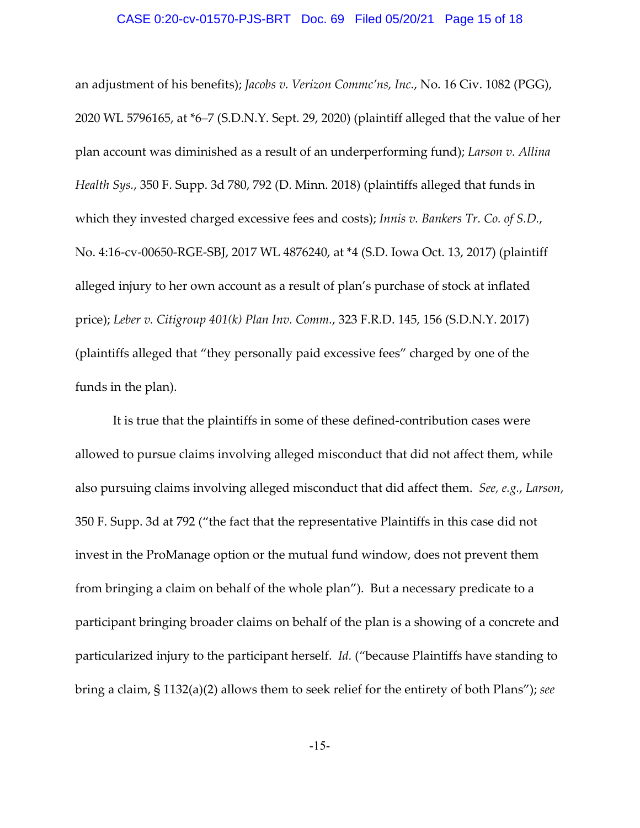### CASE 0:20-cv-01570-PJS-BRT Doc. 69 Filed 05/20/21 Page 15 of 18

an adjustment of his benefits); *Jacobs v. Verizon Commc'ns, Inc.*, No. 16 Civ. 1082 (PGG), 2020 WL 5796165, at \*6–7 (S.D.N.Y. Sept. 29, 2020) (plaintiff alleged that the value of her plan account was diminished as a result of an underperforming fund); *Larson v. Allina Health Sys.*, 350 F. Supp. 3d 780, 792 (D. Minn. 2018) (plaintiffs alleged that funds in which they invested charged excessive fees and costs); *Innis v. Bankers Tr. Co. of S.D.*, No. 4:16‐cv‐00650‐RGE‐SBJ, 2017 WL 4876240, at \*4 (S.D. Iowa Oct. 13, 2017) (plaintiff alleged injury to her own account as a result of plan's purchase of stock at inflated price); *Leber v. Citigroup 401(k) Plan Inv. Comm.*, 323 F.R.D. 145, 156 (S.D.N.Y. 2017) (plaintiffs alleged that "they personally paid excessive fees" charged by one of the funds in the plan).

It is true that the plaintiffs in some of these defined‐contribution cases were allowed to pursue claims involving alleged misconduct that did not affect them, while also pursuing claims involving alleged misconduct that did affect them. *See, e.g.*, *Larson*, 350 F. Supp. 3d at 792 ("the fact that the representative Plaintiffs in this case did not invest in the ProManage option or the mutual fund window, does not prevent them from bringing a claim on behalf of the whole plan"). But a necessary predicate to a participant bringing broader claims on behalf of the plan is a showing of a concrete and particularized injury to the participant herself. *Id.* ("because Plaintiffs have standing to bring a claim, § 1132(a)(2) allows them to seek relief for the entirety of both Plans"); *see*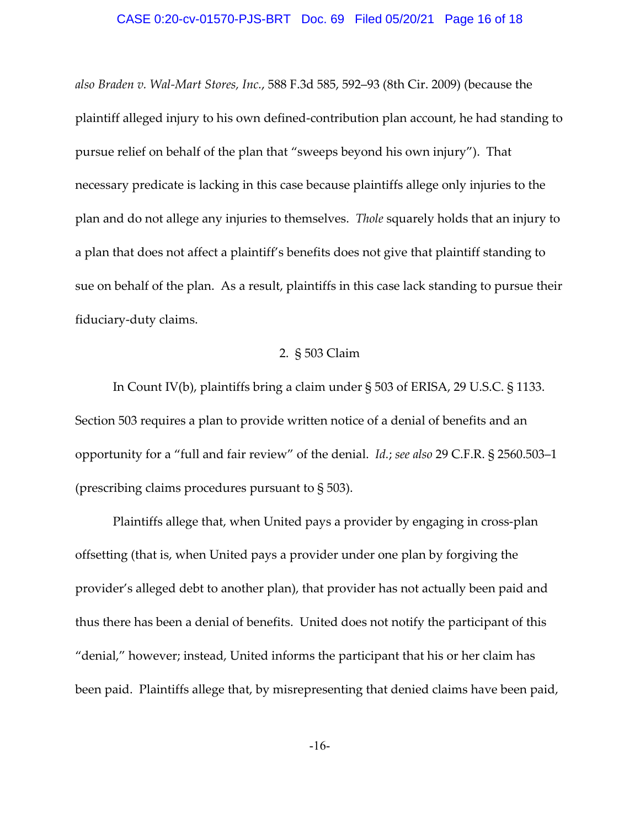## CASE 0:20-cv-01570-PJS-BRT Doc. 69 Filed 05/20/21 Page 16 of 18

*also Braden v. Wal‐Mart Stores, Inc.*, 588 F.3d 585, 592–93 (8th Cir. 2009) (because the plaintiff alleged injury to his own defined‐contribution plan account, he had standing to pursue relief on behalf of the plan that "sweeps beyond his own injury"). That necessary predicate is lacking in this case because plaintiffs allege only injuries to the plan and do not allege any injuries to themselves. *Thole* squarely holds that an injury to a plan that does not affect a plaintiff's benefits does not give that plaintiff standing to sue on behalf of the plan. As a result, plaintiffs in this case lack standing to pursue their fiduciary‐duty claims.

## 2. § 503 Claim

In Count IV(b), plaintiffs bring a claim under § 503 of ERISA, 29 U.S.C. § 1133. Section 503 requires a plan to provide written notice of a denial of benefits and an opportunity for a "full and fair review" of the denial. *Id.*; *see also* 29 C.F.R. § 2560.503–1 (prescribing claims procedures pursuant to § 503).

Plaintiffs allege that, when United pays a provider by engaging in cross‐plan offsetting (that is, when United pays a provider under one plan by forgiving the provider's alleged debt to another plan), that provider has not actually been paid and thus there has been a denial of benefits. United does not notify the participant of this "denial," however; instead, United informs the participant that his or her claim has been paid. Plaintiffs allege that, by misrepresenting that denied claims have been paid,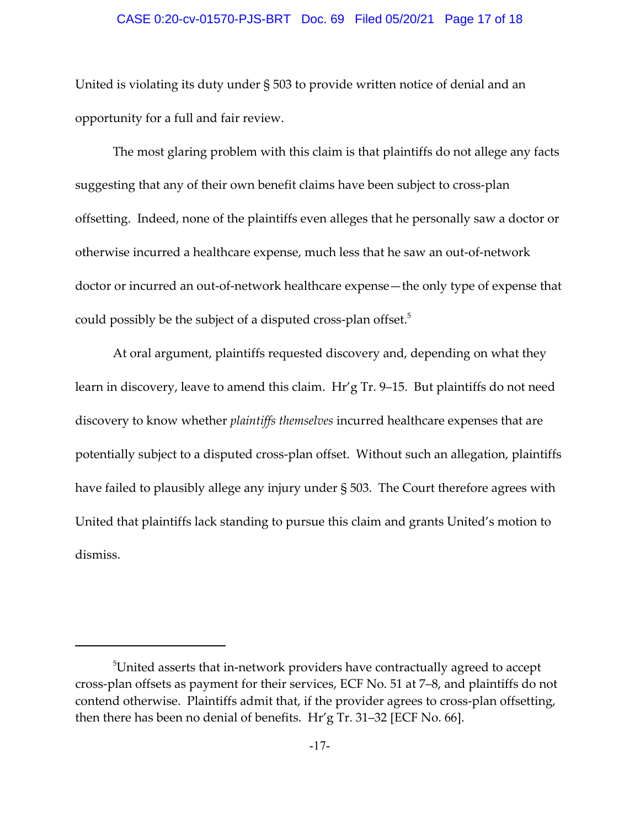#### CASE 0:20-cv-01570-PJS-BRT Doc. 69 Filed 05/20/21 Page 17 of 18

United is violating its duty under § 503 to provide written notice of denial and an opportunity for a full and fair review.

The most glaring problem with this claim is that plaintiffs do not allege any facts suggesting that any of their own benefit claims have been subject to cross‐plan offsetting. Indeed, none of the plaintiffs even alleges that he personally saw a doctor or otherwise incurred a healthcare expense, much less that he saw an out‐of‐network doctor or incurred an out‐of‐network healthcare expense—the only type of expense that could possibly be the subject of a disputed cross-plan offset. $5$ 

At oral argument, plaintiffs requested discovery and, depending on what they learn in discovery, leave to amend this claim. Hr'g Tr. 9–15. But plaintiffs do not need discovery to know whether *plaintiffs themselves* incurred healthcare expenses that are potentially subject to a disputed cross‐plan offset. Without such an allegation, plaintiffs have failed to plausibly allege any injury under § 503. The Court therefore agrees with United that plaintiffs lack standing to pursue this claim and grants United's motion to dismiss.

 $^5$ United asserts that in-network providers have contractually agreed to accept cross‐plan offsets as payment for their services, ECF No. 51 at 7–8, and plaintiffs do not contend otherwise. Plaintiffs admit that, if the provider agrees to cross-plan offsetting, then there has been no denial of benefits. Hr'g Tr. 31–32 [ECF No. 66].